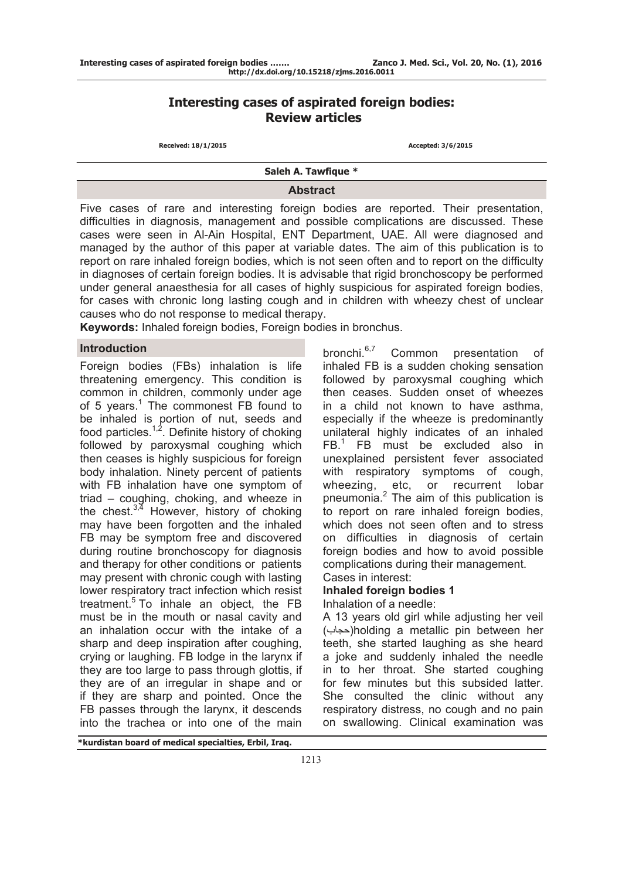# **Interesting cases of aspirated foreign bodies: Review articles**

 **Received: 18/1/2015 Accepted: 3/6/2015** 

**Saleh A. Tawfique \***

**Abstract** 

Five cases of rare and interesting foreign bodies are reported. Their presentation, difficulties in diagnosis, management and possible complications are discussed. These cases were seen in Al-Ain Hospital, ENT Department, UAE. All were diagnosed and managed by the author of this paper at variable dates. The aim of this publication is to report on rare inhaled foreign bodies, which is not seen often and to report on the difficulty in diagnoses of certain foreign bodies. It is advisable that rigid bronchoscopy be performed under general anaesthesia for all cases of highly suspicious for aspirated foreign bodies, for cases with chronic long lasting cough and in children with wheezy chest of unclear causes who do not response to medical therapy.

**Keywords:** Inhaled foreign bodies, Foreign bodies in bronchus.

#### **Introduction**

Foreign bodies (FBs) inhalation is life threatening emergency. This condition is common in children, commonly under age of 5 years.<sup>1</sup> The commonest FB found to be inhaled is portion of nut, seeds and food particles. $1,2$ . Definite history of choking followed by paroxysmal coughing which then ceases is highly suspicious for foreign body inhalation. Ninety percent of patients with FB inhalation have one symptom of triad – coughing, choking, and wheeze in the chest. $3,4$  However, history of choking may have been forgotten and the inhaled FB may be symptom free and discovered during routine bronchoscopy for diagnosis and therapy for other conditions or patients may present with chronic cough with lasting lower respiratory tract infection which resist treatment.<sup>5</sup> To inhale an object, the FB must be in the mouth or nasal cavity and an inhalation occur with the intake of a sharp and deep inspiration after coughing, crying or laughing. FB lodge in the larynx if they are too large to pass through glottis, if they are of an irregular in shape and or if they are sharp and pointed. Once the FB passes through the larynx, it descends into the trachea or into one of the main

bronchi.<sup>6,7</sup> Common presentation of inhaled FB is a sudden choking sensation followed by paroxysmal coughing which then ceases. Sudden onset of wheezes in a child not known to have asthma, especially if the wheeze is predominantly unilateral highly indicates of an inhaled FB.<sup>1</sup> FB must be excluded also in unexplained persistent fever associated with respiratory symptoms of cough, wheezing, etc, or recurrent lobar pneumonia.<sup>2</sup> The aim of this publication is to report on rare inhaled foreign bodies, which does not seen often and to stress on difficulties in diagnosis of certain foreign bodies and how to avoid possible complications during their management. Cases in interest:

## **Inhaled foreign bodies 1**

Inhalation of a needle:

A 13 years old girl while adjusting her veil ( holding a metallic pin between her حجاب( teeth, she started laughing as she heard a joke and suddenly inhaled the needle in to her throat. She started coughing for few minutes but this subsided latter. She consulted the clinic without any respiratory distress, no cough and no pain on swallowing. Clinical examination was

**\*kurdistan board of medical specialties, Erbil, Iraq.**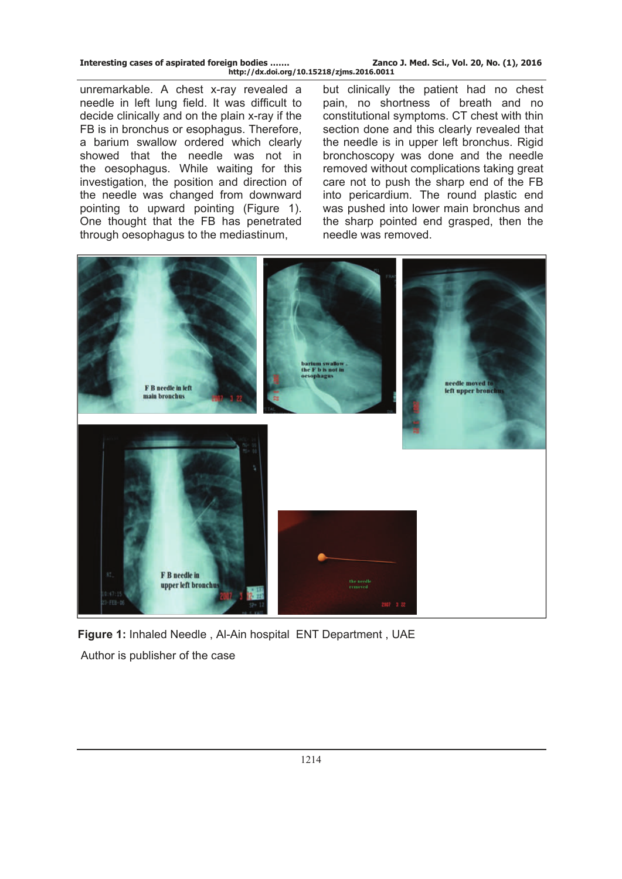| Interesting cases of aspirated foreign bodies | Zanco J. Med. Sci., Vol. 20, No. (1), 2016 |
|-----------------------------------------------|--------------------------------------------|
| http://dx.doi.org/10.15218/zjms.2016.0011     |                                            |

unremarkable. A chest x-ray revealed a needle in left lung field. It was difficult to decide clinically and on the plain x-ray if the FB is in bronchus or esophagus. Therefore, a barium swallow ordered which clearly showed that the needle was not in the oesophagus. While waiting for this investigation, the position and direction of the needle was changed from downward pointing to upward pointing (Figure 1). One thought that the FB has penetrated through oesophagus to the mediastinum,

but clinically the patient had no chest pain, no shortness of breath and no constitutional symptoms. CT chest with thin section done and this clearly revealed that the needle is in upper left bronchus. Rigid bronchoscopy was done and the needle removed without complications taking great care not to push the sharp end of the FB into pericardium. The round plastic end was pushed into lower main bronchus and the sharp pointed end grasped, then the needle was removed.



**Figure 1:** Inhaled Needle , Al-Ain hospital ENT Department , UAE Author is publisher of the case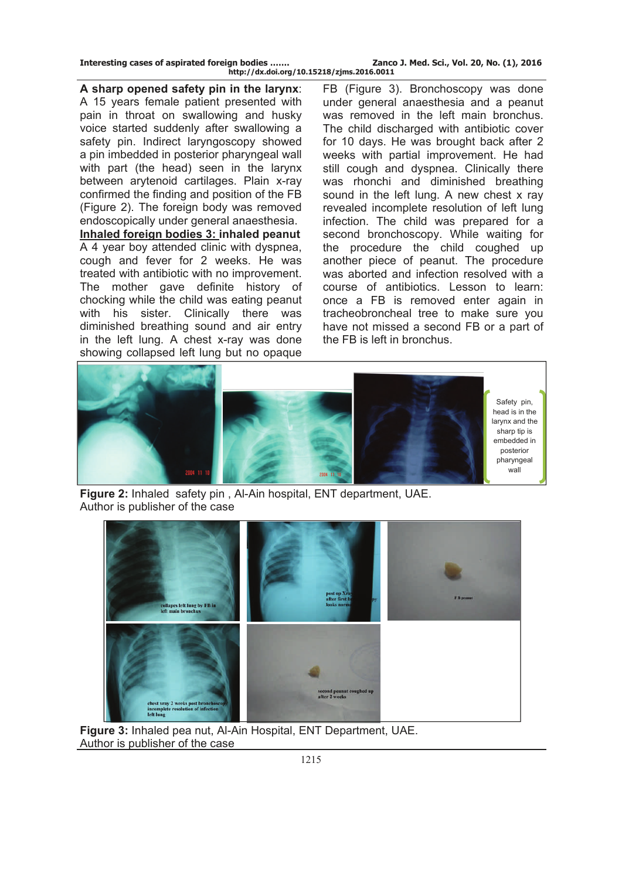**Interesting cases of aspirated foreign bodies ……. Zanco J. Med. Sci., Vol. 20, No. (1), 2016 http://dx.doi.org/10.15218/zjms.2016.0011**

**A sharp opened safety pin in the larynx**: A 15 years female patient presented with pain in throat on swallowing and husky voice started suddenly after swallowing a safety pin. Indirect laryngoscopy showed a pin imbedded in posterior pharyngeal wall with part (the head) seen in the larynx between arytenoid cartilages. Plain x-ray confirmed the finding and position of the FB (Figure 2). The foreign body was removed endoscopically under general anaesthesia. **Inhaled foreign bodies 3: inhaled peanut** A 4 year boy attended clinic with dyspnea, cough and fever for 2 weeks. He was treated with antibiotic with no improvement. The mother gave definite history of chocking while the child was eating peanut with his sister. Clinically there was diminished breathing sound and air entry in the left lung. A chest x-ray was done showing collapsed left lung but no opaque

FB (Figure 3). Bronchoscopy was done under general anaesthesia and a peanut was removed in the left main bronchus. The child discharged with antibiotic cover for 10 days. He was brought back after 2 weeks with partial improvement. He had still cough and dyspnea. Clinically there was rhonchi and diminished breathing sound in the left lung. A new chest x ray revealed incomplete resolution of left lung infection. The child was prepared for a second bronchoscopy. While waiting for the procedure the child coughed up another piece of peanut. The procedure was aborted and infection resolved with a course of antibiotics. Lesson to learn: once a FB is removed enter again in tracheobroncheal tree to make sure you have not missed a second FB or a part of the FB is left in bronchus.



**Figure 2:** Inhaled safety pin , Al-Ain hospital, ENT department, UAE. Author is publisher of the case



**Figure 3:** Inhaled pea nut, Al-Ain Hospital, ENT Department, UAE. Author is publisher of the case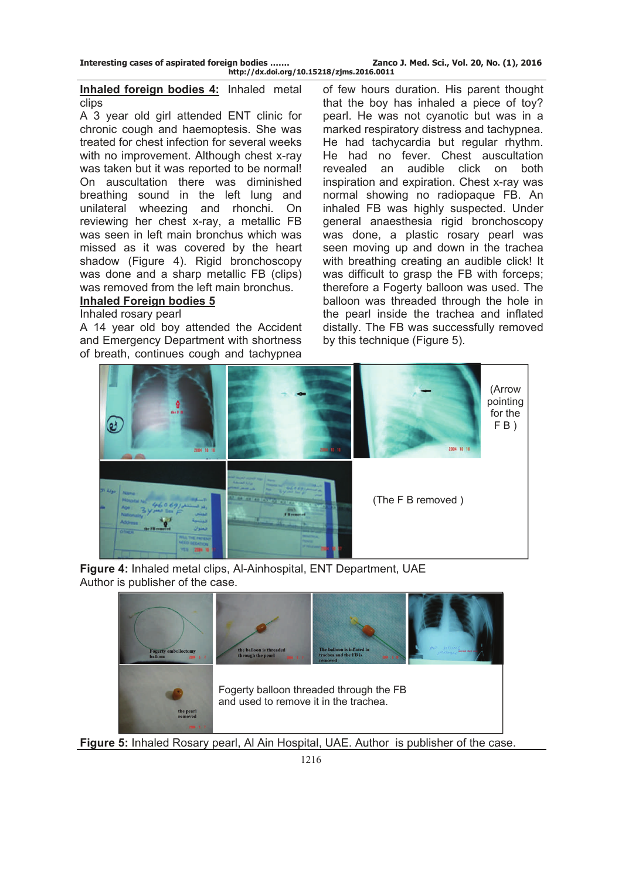## **[Inhaled foreign bodies 4:](http://iloapp.drtawfiqueclinic.com/blog/blog?Home&post=27)** Inhaled metal clips

A 3 year old girl attended ENT clinic for chronic cough and haemoptesis. She was treated for chest infection for several weeks with no improvement. Although chest x-ray was taken but it was reported to be normal! On auscultation there was diminished breathing sound in the left lung and unilateral wheezing and rhonchi. On reviewing her chest x-ray, a metallic FB was seen in left main bronchus which was missed as it was covered by the heart shadow (Figure 4). Rigid bronchoscopy was done and a sharp metallic FB (clips) was removed from the left main bronchus.

## **Inhaled Foreign bodies 5**

## Inhaled rosary pearl

A 14 year old boy attended the Accident and Emergency Department with shortness of breath, continues cough and tachypnea

of few hours duration. His parent thought that the boy has inhaled a piece of toy? pearl. He was not cyanotic but was in a marked respiratory distress and tachypnea. He had tachycardia but regular rhythm. He had no fever. Chest auscultation revealed an audible click on both inspiration and expiration. Chest x-ray was normal showing no radiopaque FB. An inhaled FB was highly suspected. Under general anaesthesia rigid bronchoscopy was done, a plastic rosary pearl was seen moving up and down in the trachea with breathing creating an audible click! It was difficult to grasp the FB with forceps; therefore a Fogerty balloon was used. The balloon was threaded through the hole in the pearl inside the trachea and inflated distally. The FB was successfully removed by this technique (Figure 5).



**Figure 4:** Inhaled metal clips, Al-Ainhospital, ENT Department, UAE Author is publisher of the case.



**Figure 5:** Inhaled Rosary pearl, Al Ain Hospital, UAE. Author is publisher of the case.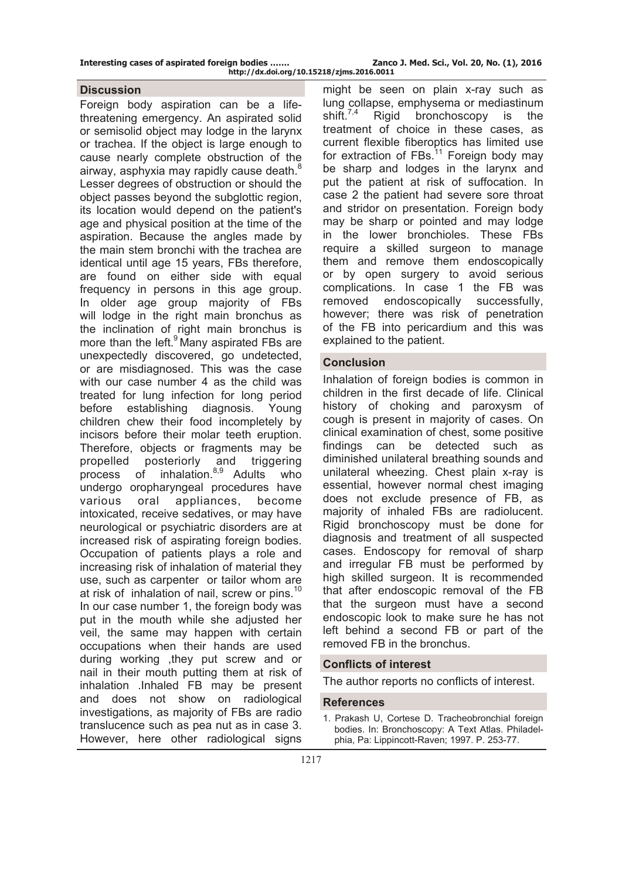## **Discussion**

Foreign body aspiration can be a lifethreatening emergency. An aspirated solid or semisolid object may lodge in the larynx or trachea. If the object is large enough to cause nearly complete obstruction of the airway, asphyxia may rapidly cause death.<sup>8</sup> Lesser degrees of obstruction or should the object passes beyond the subglottic region, its location would depend on the patient's age and physical position at the time of the aspiration. Because the angles made by the main stem bronchi with the trachea are identical until age 15 years, FBs therefore, are found on either side with equal frequency in persons in this age group. In older age group majority of FBs will lodge in the right main bronchus as the inclination of right main bronchus is more than the left.<sup>9</sup> Many aspirated FBs are unexpectedly discovered, go undetected, or are misdiagnosed. This was the case with our case number 4 as the child was treated for lung infection for long period before establishing diagnosis. Young children chew their food incompletely by incisors before their molar teeth eruption. Therefore, objects or fragments may be propelled posteriorly and triggering process of inhalation.<sup>8,9</sup> Adults who undergo oropharyngeal procedures have various oral appliances, become intoxicated, receive sedatives, or may have neurological or psychiatric disorders are at increased risk of aspirating foreign bodies. Occupation of patients plays a role and increasing risk of inhalation of material they use, such as carpenter or tailor whom are at risk of inhalation of nail, screw or pins.<sup>10</sup> In our case number 1, the foreign body was put in the mouth while she adjusted her veil, the same may happen with certain occupations when their hands are used during working ,they put screw and or nail in their mouth putting them at risk of inhalation .Inhaled FB may be present and does not show on radiological investigations, as majority of FBs are radio translucence such as pea nut as in case 3. However, here other radiological signs

might be seen on plain x-ray such as lung collapse, emphysema or mediastinum<br>shift.<sup>7,4</sup> Rigid bronchoscopy is the Rigid bronchoscopy is the treatment of choice in these cases, as current flexible fiberoptics has limited use for extraction of  $FBs$ <sup>11</sup> Foreign body may be sharp and lodges in the larynx and put the patient at risk of suffocation. In case 2 the patient had severe sore throat and stridor on presentation. Foreign body may be sharp or pointed and may lodge in the lower bronchioles. These FBs require a skilled surgeon to manage them and remove them endoscopically or by open surgery to avoid serious complications. In case 1 the FB was removed endoscopically successfully, however; there was risk of penetration of the FB into pericardium and this was explained to the patient.

## **Conclusion**

Inhalation of foreign bodies is common in children in the first decade of life. Clinical history of choking and paroxysm of cough is present in majority of cases. On clinical examination of chest, some positive findings can be detected such as diminished unilateral breathing sounds and unilateral wheezing. Chest plain x-ray is essential, however normal chest imaging does not exclude presence of FB, as majority of inhaled FBs are radiolucent. Rigid bronchoscopy must be done for diagnosis and treatment of all suspected cases. Endoscopy for removal of sharp and irregular FB must be performed by high skilled surgeon. It is recommended that after endoscopic removal of the FB that the surgeon must have a second endoscopic look to make sure he has not left behind a second FB or part of the removed FB in the bronchus.

## **Conflicts of interest**

The author reports no conflicts of interest.

#### **References**

<sup>1.</sup> Prakash U, Cortese D. Tracheobronchial foreign bodies. In: Bronchoscopy: A Text Atlas. Philadelphia, Pa: Lippincott-Raven; 1997. P. 253-77.